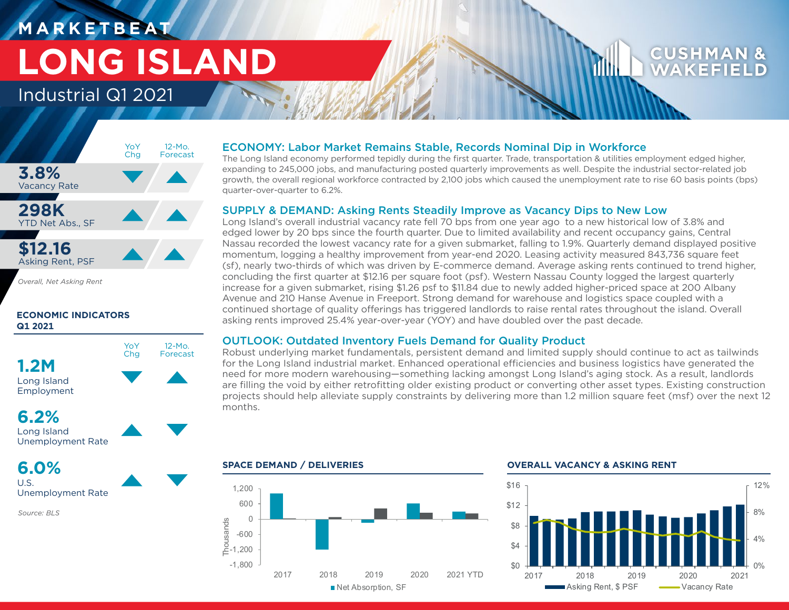# **M A R K E T B E AT LONG ISLAND**

## Industrial Q1 2021



**ECONOMIC INDICATORS Q1 2021**



## **6.2%**

```
Long Island
Unemployment Rate
```
**6.0%** U.S.

Unemployment Rate

*Source: BLS*

### ECONOMY: Labor Market Remains Stable, Records Nominal Dip in Workforce

The Long Island economy performed tepidly during the first quarter. Trade, transportation & utilities employment edged higher, expanding to 245,000 jobs, and manufacturing posted quarterly improvements as well. Despite the industrial sector-related job growth, the overall regional workforce contracted by 2,100 jobs which caused the unemployment rate to rise 60 basis points (bps) quarter-over-quarter to 6.2%.

### SUPPLY & DEMAND: Asking Rents Steadily Improve as Vacancy Dips to New Low

Long Island's overall industrial vacancy rate fell 70 bps from one year ago to a new historical low of 3.8% and edged lower by 20 bps since the fourth quarter. Due to limited availability and recent occupancy gains, Central Nassau recorded the lowest vacancy rate for a given submarket, falling to 1.9%. Quarterly demand displayed positive momentum, logging a healthy improvement from year-end 2020. Leasing activity measured 843,736 square feet (sf), nearly two-thirds of which was driven by E-commerce demand. Average asking rents continued to trend higher, concluding the first quarter at \$12.16 per square foot (psf). Western Nassau County logged the largest quarterly increase for a given submarket, rising \$1.26 psf to \$11.84 due to newly added higher-priced space at 200 Albany Avenue and 210 Hanse Avenue in Freeport. Strong demand for warehouse and logistics space coupled with a continued shortage of quality offerings has triggered landlords to raise rental rates throughout the island. Overall asking rents improved 25.4% year-over-year (YOY) and have doubled over the past decade.

### OUTLOOK: Outdated Inventory Fuels Demand for Quality Product

Robust underlying market fundamentals, persistent demand and limited supply should continue to act as tailwinds for the Long Island industrial market. Enhanced operational efficiencies and business logistics have generated the need for more modern warehousing—something lacking amongst Long Island's aging stock. As a result, landlords are filling the void by either retrofitting older existing product or converting other asset types. Existing construction projects should help alleviate supply constraints by delivering more than 1.2 million square feet (msf) over the next 12 months.



### **SPACE DEMAND / DELIVERIES OVERALL VACANCY & ASKING RENT**



WAKFF